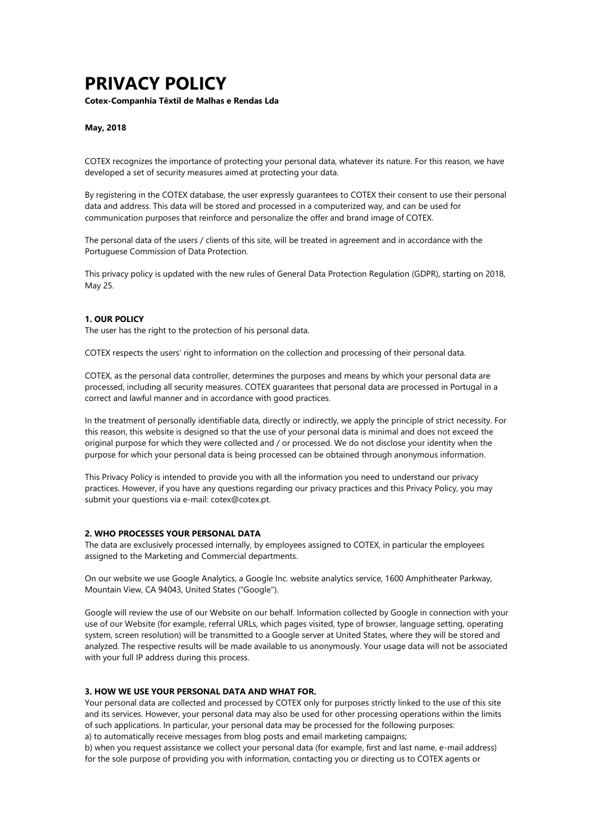# **PRIVACY POLICY**

**Cotex-Companhia Têxtil de Malhas e Rendas Lda**

#### **May, 2018**

COTEX recognizes the importance of protecting your personal data, whatever its nature. For this reason, we have developed a set of security measures aimed at protecting your data.

By registering in the COTEX database, the user expressly guarantees to COTEX their consent to use their personal data and address. This data will be stored and processed in a computerized way, and can be used for communication purposes that reinforce and personalize the offer and brand image of COTEX.

The personal data of the users / clients of this site, will be treated in agreement and in accordance with the Portuguese Commission of Data Protection.

This privacy policy is updated with the new rules of General Data Protection Regulation (GDPR), starting on 2018, May 25.

#### **1. OUR POLICY**

The user has the right to the protection of his personal data.

COTEX respects the users' right to information on the collection and processing of their personal data.

COTEX, as the personal data controller, determines the purposes and means by which your personal data are processed, including all security measures. COTEX guarantees that personal data are processed in Portugal in a correct and lawful manner and in accordance with good practices.

In the treatment of personally identifiable data, directly or indirectly, we apply the principle of strict necessity. For this reason, this website is designed so that the use of your personal data is minimal and does not exceed the original purpose for which they were collected and / or processed. We do not disclose your identity when the purpose for which your personal data is being processed can be obtained through anonymous information.

This Privacy Policy is intended to provide you with all the information you need to understand our privacy practices. However, if you have any questions regarding our privacy practices and this Privacy Policy, you may submit your questions via e-mail: cotex@cotex.pt.

### **2. WHO PROCESSES YOUR PERSONAL DATA**

The data are exclusively processed internally, by employees assigned to COTEX, in particular the employees assigned to the Marketing and Commercial departments.

On our website we use Google Analytics, a Google Inc. website analytics service, 1600 Amphitheater Parkway, Mountain View, CA 94043, United States ("Google").

Google will review the use of our Website on our behalf. Information collected by Google in connection with your use of our Website (for example, referral URLs, which pages visited, type of browser, language setting, operating system, screen resolution) will be transmitted to a Google server at United States, where they will be stored and analyzed. The respective results will be made available to us anonymously. Your usage data will not be associated with your full IP address during this process.

#### **3. HOW WE USE YOUR PERSONAL DATA AND WHAT FOR.**

Your personal data are collected and processed by COTEX only for purposes strictly linked to the use of this site and its services. However, your personal data may also be used for other processing operations within the limits of such applications. In particular, your personal data may be processed for the following purposes: a) to automatically receive messages from blog posts and email marketing campaigns;

b) when you request assistance we collect your personal data (for example, first and last name, e-mail address) for the sole purpose of providing you with information, contacting you or directing us to COTEX agents or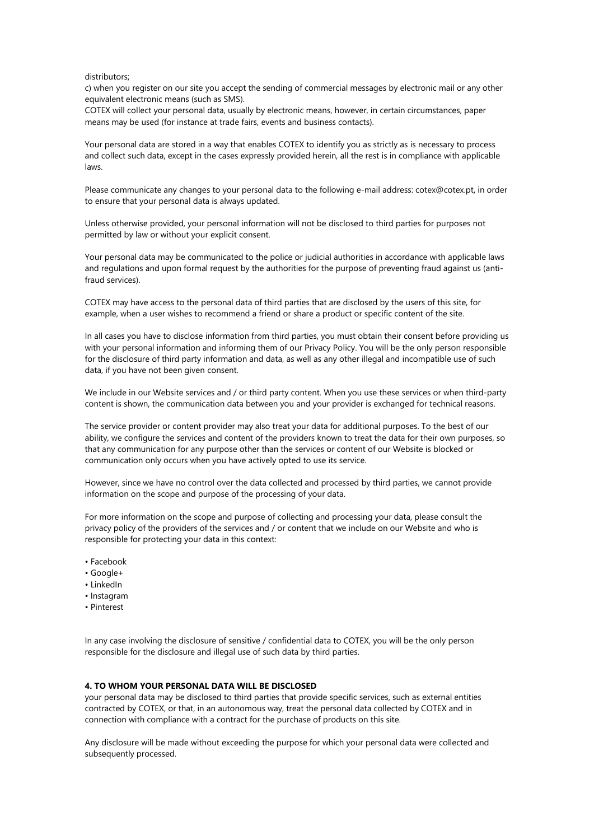#### distributors;

c) when you register on our site you accept the sending of commercial messages by electronic mail or any other equivalent electronic means (such as SMS).

COTEX will collect your personal data, usually by electronic means, however, in certain circumstances, paper means may be used (for instance at trade fairs, events and business contacts).

Your personal data are stored in a way that enables COTEX to identify you as strictly as is necessary to process and collect such data, except in the cases expressly provided herein, all the rest is in compliance with applicable laws.

Please communicate any changes to your personal data to the following e-mail address: cotex@cotex.pt, in order to ensure that your personal data is always updated.

Unless otherwise provided, your personal information will not be disclosed to third parties for purposes not permitted by law or without your explicit consent.

Your personal data may be communicated to the police or judicial authorities in accordance with applicable laws and regulations and upon formal request by the authorities for the purpose of preventing fraud against us (antifraud services).

COTEX may have access to the personal data of third parties that are disclosed by the users of this site, for example, when a user wishes to recommend a friend or share a product or specific content of the site.

In all cases you have to disclose information from third parties, you must obtain their consent before providing us with your personal information and informing them of our Privacy Policy. You will be the only person responsible for the disclosure of third party information and data, as well as any other illegal and incompatible use of such data, if you have not been given consent.

We include in our Website services and / or third party content. When you use these services or when third-party content is shown, the communication data between you and your provider is exchanged for technical reasons.

The service provider or content provider may also treat your data for additional purposes. To the best of our ability, we configure the services and content of the providers known to treat the data for their own purposes, so that any communication for any purpose other than the services or content of our Website is blocked or communication only occurs when you have actively opted to use its service.

However, since we have no control over the data collected and processed by third parties, we cannot provide information on the scope and purpose of the processing of your data.

For more information on the scope and purpose of collecting and processing your data, please consult the privacy policy of the providers of the services and / or content that we include on our Website and who is responsible for protecting your data in this context:

- Facebook
- Google+
- LinkedIn
- Instagram
- Pinterest

In any case involving the disclosure of sensitive / confidential data to COTEX, you will be the only person responsible for the disclosure and illegal use of such data by third parties.

# **4. TO WHOM YOUR PERSONAL DATA WILL BE DISCLOSED**

your personal data may be disclosed to third parties that provide specific services, such as external entities contracted by COTEX, or that, in an autonomous way, treat the personal data collected by COTEX and in connection with compliance with a contract for the purchase of products on this site.

Any disclosure will be made without exceeding the purpose for which your personal data were collected and subsequently processed.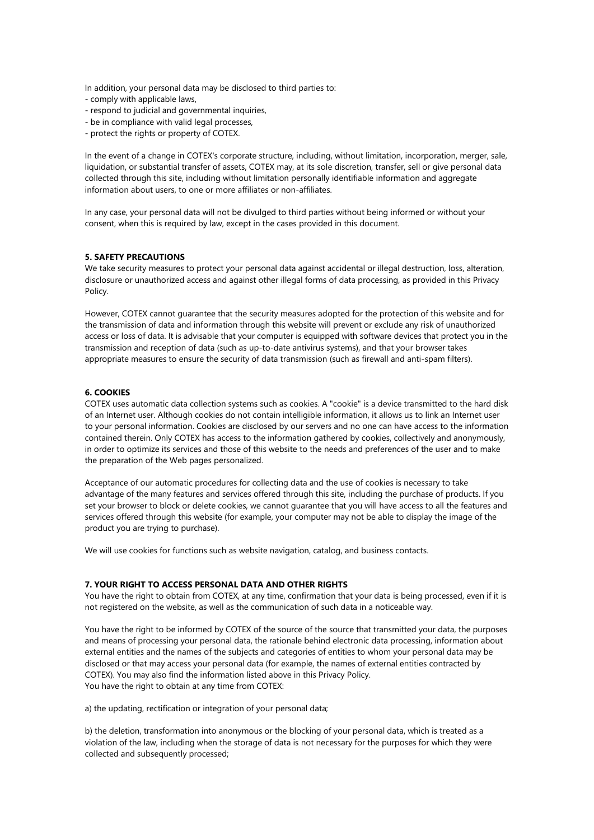In addition, your personal data may be disclosed to third parties to:

- comply with applicable laws,
- respond to judicial and governmental inquiries,
- be in compliance with valid legal processes,
- protect the rights or property of COTEX.

In the event of a change in COTEX's corporate structure, including, without limitation, incorporation, merger, sale, liquidation, or substantial transfer of assets, COTEX may, at its sole discretion, transfer, sell or give personal data collected through this site, including without limitation personally identifiable information and aggregate information about users, to one or more affiliates or non-affiliates.

In any case, your personal data will not be divulged to third parties without being informed or without your consent, when this is required by law, except in the cases provided in this document.

## **5. SAFETY PRECAUTIONS**

We take security measures to protect your personal data against accidental or illegal destruction, loss, alteration, disclosure or unauthorized access and against other illegal forms of data processing, as provided in this Privacy Policy.

However, COTEX cannot guarantee that the security measures adopted for the protection of this website and for the transmission of data and information through this website will prevent or exclude any risk of unauthorized access or loss of data. It is advisable that your computer is equipped with software devices that protect you in the transmission and reception of data (such as up-to-date antivirus systems), and that your browser takes appropriate measures to ensure the security of data transmission (such as firewall and anti-spam filters).

# **6. COOKIES**

COTEX uses automatic data collection systems such as cookies. A "cookie" is a device transmitted to the hard disk of an Internet user. Although cookies do not contain intelligible information, it allows us to link an Internet user to your personal information. Cookies are disclosed by our servers and no one can have access to the information contained therein. Only COTEX has access to the information gathered by cookies, collectively and anonymously, in order to optimize its services and those of this website to the needs and preferences of the user and to make the preparation of the Web pages personalized.

Acceptance of our automatic procedures for collecting data and the use of cookies is necessary to take advantage of the many features and services offered through this site, including the purchase of products. If you set your browser to block or delete cookies, we cannot guarantee that you will have access to all the features and services offered through this website (for example, your computer may not be able to display the image of the product you are trying to purchase).

We will use cookies for functions such as website navigation, catalog, and business contacts.

#### **7. YOUR RIGHT TO ACCESS PERSONAL DATA AND OTHER RIGHTS**

You have the right to obtain from COTEX, at any time, confirmation that your data is being processed, even if it is not registered on the website, as well as the communication of such data in a noticeable way.

You have the right to be informed by COTEX of the source of the source that transmitted your data, the purposes and means of processing your personal data, the rationale behind electronic data processing, information about external entities and the names of the subjects and categories of entities to whom your personal data may be disclosed or that may access your personal data (for example, the names of external entities contracted by COTEX). You may also find the information listed above in this Privacy Policy. You have the right to obtain at any time from COTEX:

a) the updating, rectification or integration of your personal data;

b) the deletion, transformation into anonymous or the blocking of your personal data, which is treated as a violation of the law, including when the storage of data is not necessary for the purposes for which they were collected and subsequently processed;